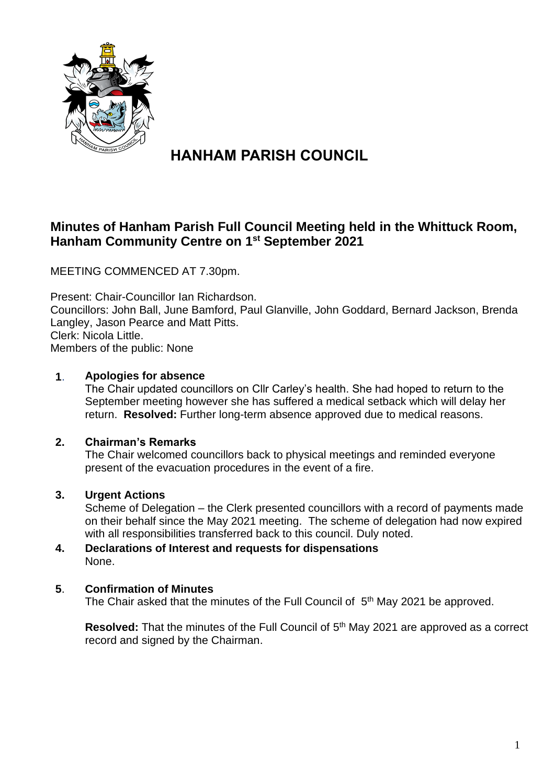

# **HANHAM PARISH COUNCIL**

# **Minutes of Hanham Parish Full Council Meeting held in the Whittuck Room, Hanham Community Centre on 1 st September 2021**

MEETING COMMENCED AT 7.30pm.

Present: Chair-Councillor Ian Richardson. Councillors: John Ball, June Bamford, Paul Glanville, John Goddard, Bernard Jackson, Brenda Langley, Jason Pearce and Matt Pitts. Clerk: Nicola Little. Members of the public: None

# **1**. **Apologies for absence**

The Chair updated councillors on Cllr Carley's health. She had hoped to return to the September meeting however she has suffered a medical setback which will delay her return. **Resolved:** Further long-term absence approved due to medical reasons.

#### **2. Chairman's Remarks**

The Chair welcomed councillors back to physical meetings and reminded everyone present of the evacuation procedures in the event of a fire.

# **3. Urgent Actions**

Scheme of Delegation – the Clerk presented councillors with a record of payments made on their behalf since the May 2021 meeting. The scheme of delegation had now expired with all responsibilities transferred back to this council. Duly noted.

#### **4. Declarations of Interest and requests for dispensations** None.

#### **5**. **Confirmation of Minutes**

The Chair asked that the minutes of the Full Council of 5<sup>th</sup> May 2021 be approved.

Resolved: That the minutes of the Full Council of 5<sup>th</sup> May 2021 are approved as a correct record and signed by the Chairman.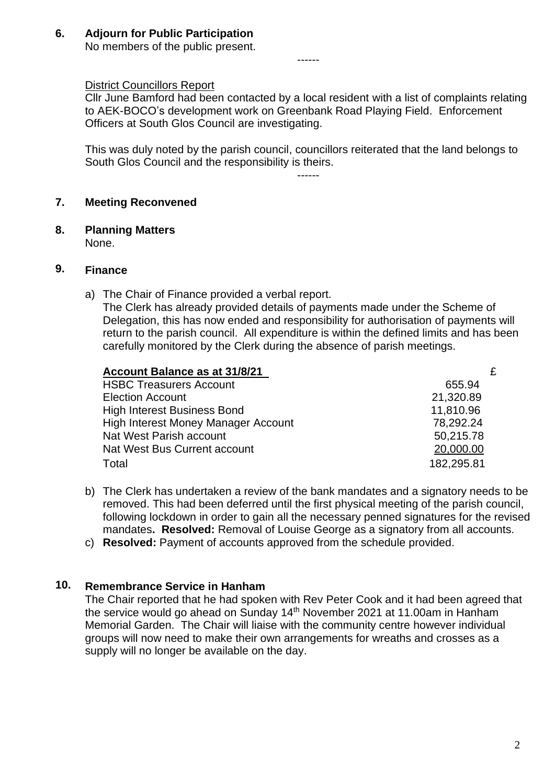**6. Adjourn for Public Participation** No members of the public present.

#### District Councillors Report

Cllr June Bamford had been contacted by a local resident with a list of complaints relating to AEK-BOCO's development work on Greenbank Road Playing Field. Enforcement Officers at South Glos Council are investigating.

------

This was duly noted by the parish council, councillors reiterated that the land belongs to South Glos Council and the responsibility is theirs.

------

#### **7. Meeting Reconvened**

**8. Planning Matters**

None.

## **9. Finance**

a) The Chair of Finance provided a verbal report.

The Clerk has already provided details of payments made under the Scheme of Delegation, this has now ended and responsibility for authorisation of payments will return to the parish council. All expenditure is within the defined limits and has been carefully monitored by the Clerk during the absence of parish meetings.

| Account Balance as at 31/8/21       |            |
|-------------------------------------|------------|
| <b>HSBC Treasurers Account</b>      | 655.94     |
| <b>Election Account</b>             | 21,320.89  |
| <b>High Interest Business Bond</b>  | 11,810.96  |
| High Interest Money Manager Account | 78,292.24  |
| Nat West Parish account             | 50,215.78  |
| Nat West Bus Current account        | 20,000.00  |
| Total                               | 182,295.81 |

- b) The Clerk has undertaken a review of the bank mandates and a signatory needs to be removed. This had been deferred until the first physical meeting of the parish council, following lockdown in order to gain all the necessary penned signatures for the revised mandates**. Resolved:** Removal of Louise George as a signatory from all accounts.
- c) **Resolved:** Payment of accounts approved from the schedule provided.

# **10. Remembrance Service in Hanham**

The Chair reported that he had spoken with Rev Peter Cook and it had been agreed that the service would go ahead on Sunday 14<sup>th</sup> November 2021 at 11.00am in Hanham Memorial Garden. The Chair will liaise with the community centre however individual groups will now need to make their own arrangements for wreaths and crosses as a supply will no longer be available on the day.